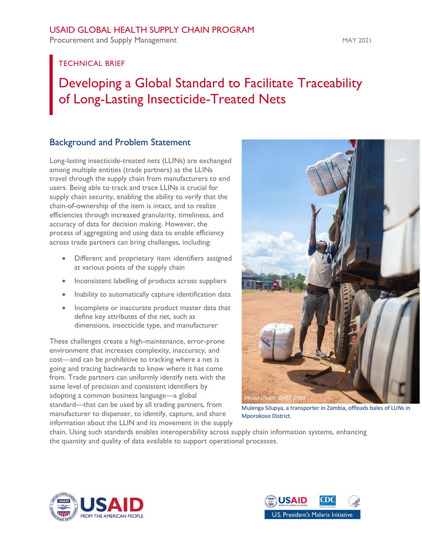# USAID GLOBAL HEALTH SUPPLY CHAIN PROGRAM

Procurement and Supply Management MAY 2021

## TECHNICAL BRIEF

# Developing a Global Standard to Facilitate Traceability of Long-Lasting Insecticide-Treated Nets

# Background and Problem Statement

Long-lasting insecticide-treated nets (LLINs) are exchanged among multiple entities (trade partners) as the LLINs travel through the supply chain from manufacturers to end users. Being able to track and trace LLINs is crucial for supply chain security, enabling the ability to verify that the chain-of-ownership of the item is intact, and to realize efficiencies through increased granularity, timeliness, and accuracy of data for decision making. However, the process of aggregating and using data to enable efficiency across trade partners can bring challenges, including:

- Different and proprietary item identifiers assigned at various points of the supply chain
- Inconsistent labelling of products across suppliers
- Inability to automatically capture identification data
- Incomplete or inaccurate product master data that define key attributes of the net, such as dimensions, insecticide type, and manufacturer

These challenges create a high-maintenance, error-prone environment that increases complexity, inaccuracy, and cost—and can be prohibitive to tracking where a net is going and tracing backwards to know where it has come from. Trade partners can uniformly identify nets with the same level of precision and consistent identifiers by adopting a common business language—a global standard—that can be used by all trading partners, from manufacturer to dispenser, to identify, capture, and share information about the LLIN and its movement in the supply



Mulenga Silupya, a transporter in Zambia, offloads bales of LLINs in Mporokoso District.

chain. Using such standards enables interoperability across supply chain information systems, enhancing the quantity and quality of data available to support operational processes.



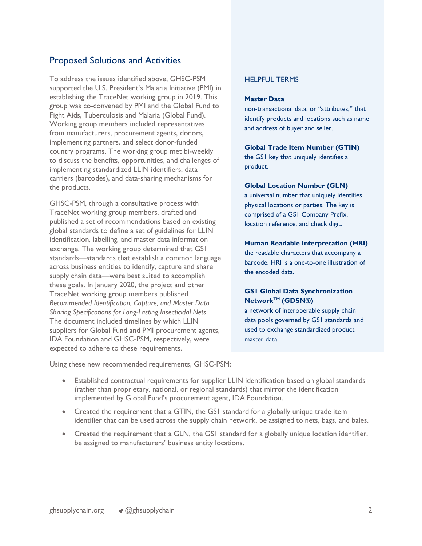# Proposed Solutions and Activities

To address the issues identified above, GHSC-PSM supported the U.S. President's Malaria Initiative (PMI) in establishing the TraceNet working group in 2019. This group was co-convened by PMI and the Global Fund to Fight Aids, Tuberculosis and Malaria (Global Fund). Working group members included representatives from manufacturers, procurement agents, donors, implementing partners, and select donor-funded country programs. The working group met bi-weekly to discuss the benefits, opportunities, and challenges of implementing standardized LLIN identifiers, data carriers (barcodes), and data-sharing mechanisms for the products.

GHSC-PSM, through a consultative process with TraceNet working group members, drafted and published a set of recommendations based on existing global standards to define a set of guidelines for LLIN identification, labelling, and master data information exchange. The working group determined that GS1 standards—standards that establish a common language across business entities to identify, capture and share supply chain data—were best suited to accomplish these goals. In January 2020, the project and other TraceNet working group members published *[Recommended Identification, Capture, and Master Data](https://www.ghsupplychain.org/index.php/TraceNet-Recommendations)  [Sharing Specifications for Long-Lasting Insecticidal Nets](https://www.ghsupplychain.org/index.php/TraceNet-Recommendations)*. The document included timelines by which LLIN suppliers for Global Fund and PMI procurement agents, IDA Foundation and GHSC-PSM, respectively, were expected to adhere to these requirements.

### HELPFUL TERMS

#### **Master Data**

non-transactional data, or "attributes," that identify products and locations such as name and address of buyer and seller.

### **Global Trade Item Number (GTIN)**

the GS1 key that uniquely identifies a product.

#### **Global Location Number (GLN)**

a universal number that uniquely identifies physical locations or parties. The key is comprised of a GS1 Company Prefix, location reference, and check digit.

### **Human Readable Interpretation (HRI)**

the readable characters that accompany a barcode. HRI is a one-to-one illustration of the encoded data.

### **GS1 Global Data Synchronization NetworkTM (GDSN®)**

a network of interoperable supply chain data pools governed by GS1 standards and used to exchange standardized product master data.

Using these new recommended requirements, GHSC-PSM:

- Established contractual requirements for supplier LLIN identification based on global standards (rather than proprietary, national, or regional standards) that mirror the identification implemented by Global Fund's procurement agent, IDA Foundation.
- Created the requirement that a GTIN, the GS1 standard for a globally unique trade item identifier that can be used across the supply chain network, be assigned to nets, bags, and bales.
- Created the requirement that a GLN, the GS1 standard for a globally unique location identifier, be assigned to manufacturers' business entity locations.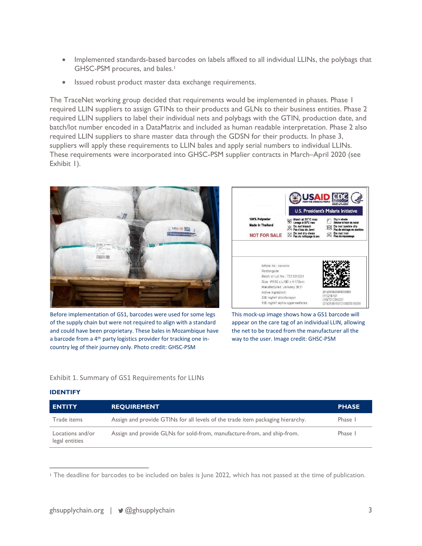- Implemented standards-based barcodes on labels affixed to all individual LLINs, the polybags that GHSC-PSM procures, and bales. 1
- Issued robust product master data exchange requirements.

The TraceNet working group decided that requirements would be implemented in phases. Phase 1 required LLIN suppliers to assign GTINs to their products and GLNs to their business entities. Phase 2 required LLIN suppliers to label their individual nets and polybags with the GTIN, production date, and batch/lot number encoded in a DataMatrix and included as human readable interpretation. Phase 2 also required LLIN suppliers to share master data through the GDSN for their products. In phase 3, suppliers will apply these requirements to LLIN bales and apply serial numbers to individual LLINs. These requirements were incorporated into GHSC-PSM supplier contracts in March–April 2020 (see Exhibit 1).



Before implementation of GS1, barcodes were used for some legs of the supply chain but were not required to align with a standard and could have been proprietary. These bales in Mozambique have a barcode from a 4<sup>th</sup> party logistics provider for tracking one incountry leg of their journey only. Photo credit: GHSC-PSM



This mock-up image shows how a GS1 barcode will appear on the care tag of an individual LLIN, allowing the net to be traced from the manufacturer all the way to the user. Image credit: GHSC-PSM

### Exhibit 1. Summary of GS1 Requirements for LLINs

#### **IDENTIFY**

| <b>ENTITY</b>                      | <b>REQUIREMENT</b>                                                             | <b>PHASE</b> |
|------------------------------------|--------------------------------------------------------------------------------|--------------|
| Trade items                        | Assign and provide GTINs for all levels of the trade item packaging hierarchy. | Phase 1      |
| Locations and/or<br>legal entities | Assign and provide GLNs for sold-from, manufacture-from, and ship-from.        | Phase 1      |

<sup>1</sup> The deadline for barcodes to be included on bales is June 2022, which has not passed at the time of publication.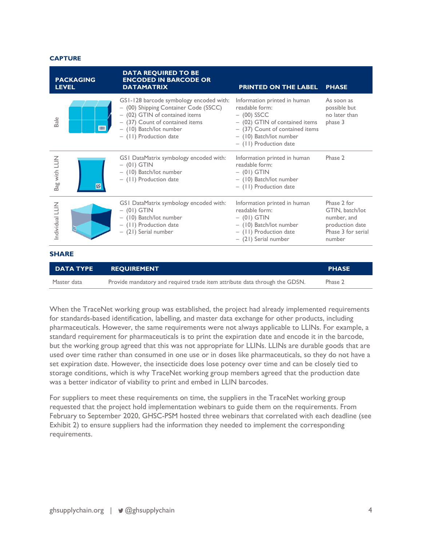#### **CAPTURE**

| <b>PACKAGING</b><br><b>LEVEL</b> | <b>DATA REQUIRED TO BE</b><br><b>ENCODED IN BARCODE OR</b><br><b>DATAMATRIX</b>                                                                                                                            | <b>PRINTED ON THE LABEL</b>                                                                                                                                                               | <b>PHASE</b>                                                                                     |
|----------------------------------|------------------------------------------------------------------------------------------------------------------------------------------------------------------------------------------------------------|-------------------------------------------------------------------------------------------------------------------------------------------------------------------------------------------|--------------------------------------------------------------------------------------------------|
| Bale<br><b>THEFT</b>             | GS1-128 barcode symbology encoded with:<br>- (00) Shipping Container Code (SSCC)<br>- (02) GTIN of contained items<br>- (37) Count of contained items<br>- (10) Batch/lot number<br>- (11) Production date | Information printed in human<br>readable form:<br>$-$ (00) SSCC<br>- (02) GTIN of contained items<br>- (37) Count of contained items<br>- (10) Batch/lot number<br>- (11) Production date | As soon as<br>possible but<br>no later than<br>phase 3                                           |
| Bag with LLIN<br>颐               | GS1 DataMatrix symbology encoded with:<br>$-$ (01) GTIN<br>- (10) Batch/lot number<br>- (11) Production date                                                                                               | Information printed in human<br>readable form:<br>$-$ (01) GTIN<br>- (10) Batch/lot number<br>$-$ (11) Production date                                                                    | Phase 2                                                                                          |
| Individual LLIN                  | GS1 DataMatrix symbology encoded with:<br>$-$ (01) GTIN<br>- (10) Batch/lot number<br>- (II) Production date<br>- (21) Serial number                                                                       | Information printed in human<br>readable form:<br>$-$ (01) GTIN<br>- (10) Batch/lot number<br>$-$ (11) Production date<br>- (21) Serial number                                            | Phase 2 for<br>GTIN, batch/lot<br>number, and<br>production date<br>Phase 3 for serial<br>number |
| <b>SHARE</b>                     |                                                                                                                                                                                                            |                                                                                                                                                                                           |                                                                                                  |

|             | <b>DATA TYPE REOUIREMENT</b>                                               | <b>PHASE</b> |
|-------------|----------------------------------------------------------------------------|--------------|
| Master data | Provide mandatory and required trade item attribute data through the GDSN. | Phase 2      |

When the TraceNet working group was established, the project had already implemented requirements for standards-based identification, labelling, and master data exchange for other products, including pharmaceuticals. However, the same requirements were not always applicable to LLINs. For example, a standard requirement for pharmaceuticals is to print the expiration date and encode it in the barcode, but the working group agreed that this was not appropriate for LLINs. LLINs are durable goods that are used over time rather than consumed in one use or in doses like pharmaceuticals, so they do not have a set expiration date. However, the insecticide does lose potency over time and can be closely tied to storage conditions, which is why TraceNet working group members agreed that the production date was a better indicator of viability to print and embed in LLIN barcodes.

For suppliers to meet these requirements on time, the suppliers in the TraceNet working group requested that the project hold implementation webinars to guide them on the requirements. From February to September 2020, GHSC-PSM hosted three webinars that correlated with each deadline (see Exhibit 2) to ensure suppliers had the information they needed to implement the corresponding requirements.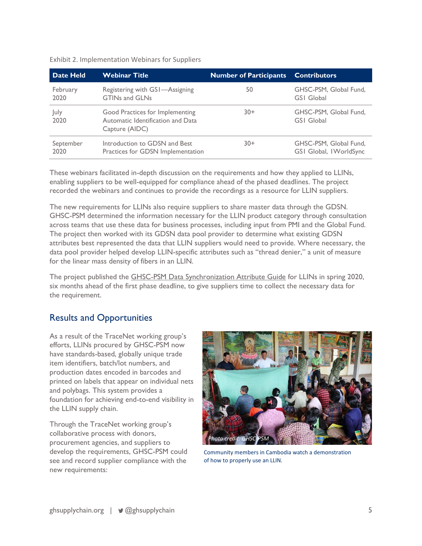| Date Held    | <b>Webinar Title</b>                                                                   | <b>Number of Participants Contributors</b> |                                             |
|--------------|----------------------------------------------------------------------------------------|--------------------------------------------|---------------------------------------------|
| February     | Registering with GSI-Assigning                                                         | 50                                         | GHSC-PSM, Global Fund,                      |
| 2020         | <b>GTINs and GLNs</b>                                                                  |                                            | <b>GSI</b> Global                           |
| July<br>2020 | Good Practices for Implementing<br>Automatic Identification and Data<br>Capture (AIDC) | $30+$                                      | GHSC-PSM, Global Fund,<br><b>GSI</b> Global |
| September    | Introduction to GDSN and Best                                                          | $30+$                                      | GHSC-PSM, Global Fund,                      |
| 2020         | Practices for GDSN Implementation                                                      |                                            | GSI Global, IWorldSync                      |

Exhibit 2. Implementation Webinars for Suppliers

These webinars facilitated in-depth discussion on the requirements and how they applied to LLINs, enabling suppliers to be well-equipped for compliance ahead of the phased deadlines. The project recorded the webinars and continues to provide the recordings as a resource for LLIN suppliers.

The new requirements for LLINs also require suppliers to share master data through the GDSN. GHSC-PSM determined the information necessary for the LLIN product category through consultation across teams that use these data for business processes, including input from PMI and the Global Fund. The project then worked with its GDSN data pool provider to determine what existing GDSN attributes best represented the data that LLIN suppliers would need to provide. Where necessary, the data pool provider helped develop LLIN-specific attributes such as "thread denier," a unit of measure for the linear mass density of fibers in an LLIN.

The project published the [GHSC-PSM Data Synchronization Attribute Guide](https://www.ghsupplychain.org/psmdatasyncattributeguide) for LLINs in spring 2020, six months ahead of the first phase deadline, to give suppliers time to collect the necessary data for the requirement.

# Results and Opportunities

As a result of the TraceNet working group's efforts, LLINs procured by GHSC-PSM now have standards-based, globally unique trade item identifiers, batch/lot numbers, and production dates encoded in barcodes and printed on labels that appear on individual nets and polybags. This system provides a foundation for achieving end-to-end visibility in the LLIN supply chain.

Through the TraceNet working group's collaborative process with donors, procurement agencies, and suppliers to develop the requirements, GHSC-PSM could see and record supplier compliance with the new requirements:



Community members in Cambodia watch a demonstration of how to properly use an LLIN.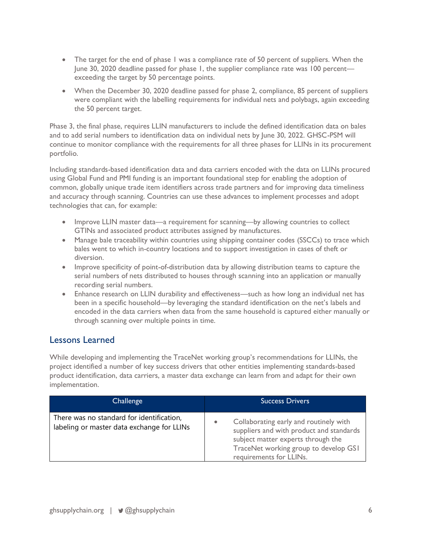- The target for the end of phase 1 was a compliance rate of 50 percent of suppliers. When the June 30, 2020 deadline passed for phase 1, the supplier compliance rate was 100 percent exceeding the target by 50 percentage points.
- When the December 30, 2020 deadline passed for phase 2, compliance, 85 percent of suppliers were compliant with the labelling requirements for individual nets and polybags, again exceeding the 50 percent target.

Phase 3, the final phase, requires LLIN manufacturers to include the defined identification data on bales and to add serial numbers to identification data on individual nets by June 30, 2022. GHSC-PSM will continue to monitor compliance with the requirements for all three phases for LLINs in its procurement portfolio.

Including standards-based identification data and data carriers encoded with the data on LLINs procured using Global Fund and PMI funding is an important foundational step for enabling the adoption of common, globally unique trade item identifiers across trade partners and for improving data timeliness and accuracy through scanning. Countries can use these advances to implement processes and adopt technologies that can, for example:

- Improve LLIN master data—a requirement for scanning—by allowing countries to collect GTINs and associated product attributes assigned by manufactures.
- Manage bale traceability within countries using shipping container codes (SSCCs) to trace which bales went to which in-country locations and to support investigation in cases of theft or diversion.
- Improve specificity of point-of-distribution data by allowing distribution teams to capture the serial numbers of nets distributed to houses through scanning into an application or manually recording serial numbers.
- Enhance research on LLIN durability and effectiveness—such as how long an individual net has been in a specific household—by leveraging the standard identification on the net's labels and encoded in the data carriers when data from the same household is captured either manually or through scanning over multiple points in time.

# Lessons Learned

While developing and implementing the TraceNet working group's recommendations for LLINs, the project identified a number of key success drivers that other entities implementing standards-based product identification, data carriers, a master data exchange can learn from and adapt for their own implementation.

| Challenge                                                                               | <b>Success Drivers</b>                                                                                                                                                                                    |
|-----------------------------------------------------------------------------------------|-----------------------------------------------------------------------------------------------------------------------------------------------------------------------------------------------------------|
| There was no standard for identification,<br>labeling or master data exchange for LLINs | Collaborating early and routinely with<br>$\bullet$<br>suppliers and with product and standards<br>subject matter experts through the<br>TraceNet working group to develop GSI<br>requirements for LLINs. |